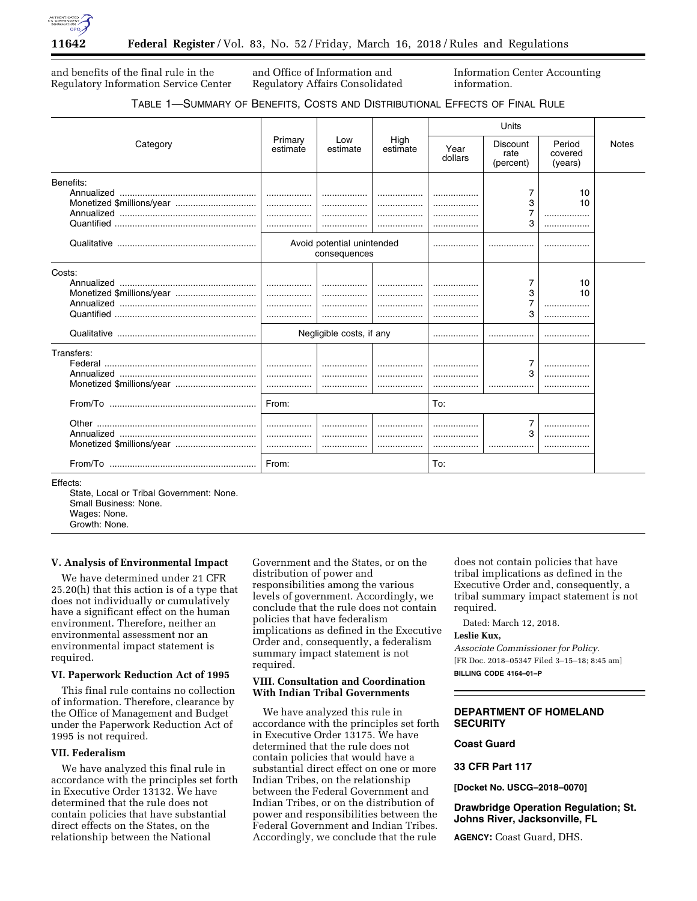

and benefits of the final rule in the Regulatory Information Service Center and Office of Information and Regulatory Affairs Consolidated Information Center Accounting information.

## TABLE 1—SUMMARY OF BENEFITS, COSTS AND DISTRIBUTIONAL EFFECTS OF FINAL RULE

|                                         |                     | Low<br>estimate                            | High<br>estimate | Units           |                               |                              |              |
|-----------------------------------------|---------------------|--------------------------------------------|------------------|-----------------|-------------------------------|------------------------------|--------------|
| Category                                | Primary<br>estimate |                                            |                  | Year<br>dollars | Discount<br>rate<br>(percent) | Period<br>covered<br>(years) | <b>Notes</b> |
| Benefits:                               |                     | Avoid potential unintended<br>consequences |                  |                 | 7<br>3<br>7<br>3<br>          | 10<br>10<br>                 |              |
| Costs:<br>Monetized \$millions/year     | .                   | <br>Negligible costs, if any               | .<br>            |                 | 7<br>3<br>7<br>3<br>.         | 10<br>10<br><br>             |              |
| Transfers:<br>Monetized \$millions/year | <br><br>From:<br>   |                                            |                  | To:             | 7<br>3<br>7<br>3              | .                            |              |
|                                         | From:               |                                            |                  | To:             |                               |                              |              |

Effects:

State, Local or Tribal Government: None. Small Business: None. Wages: None. Growth: None.

# **V. Analysis of Environmental Impact**

We have determined under 21 CFR 25.20(h) that this action is of a type that does not individually or cumulatively have a significant effect on the human environment. Therefore, neither an environmental assessment nor an environmental impact statement is required.

### **VI. Paperwork Reduction Act of 1995**

This final rule contains no collection of information. Therefore, clearance by the Office of Management and Budget under the Paperwork Reduction Act of 1995 is not required.

#### **VII. Federalism**

We have analyzed this final rule in accordance with the principles set forth in Executive Order 13132. We have determined that the rule does not contain policies that have substantial direct effects on the States, on the relationship between the National

Government and the States, or on the distribution of power and responsibilities among the various levels of government. Accordingly, we conclude that the rule does not contain policies that have federalism implications as defined in the Executive Order and, consequently, a federalism summary impact statement is not required.

### **VIII. Consultation and Coordination With Indian Tribal Governments**

We have analyzed this rule in accordance with the principles set forth in Executive Order 13175. We have determined that the rule does not contain policies that would have a substantial direct effect on one or more Indian Tribes, on the relationship between the Federal Government and Indian Tribes, or on the distribution of power and responsibilities between the Federal Government and Indian Tribes. Accordingly, we conclude that the rule

does not contain policies that have tribal implications as defined in the Executive Order and, consequently, a tribal summary impact statement is not required.

Dated: March 12, 2018.

### **Leslie Kux,**

*Associate Commissioner for Policy.*  [FR Doc. 2018–05347 Filed 3–15–18; 8:45 am] **BILLING CODE 4164–01–P** 

## **DEPARTMENT OF HOMELAND SECURITY**

#### **Coast Guard**

**33 CFR Part 117** 

**[Docket No. USCG–2018–0070]** 

### **Drawbridge Operation Regulation; St. Johns River, Jacksonville, FL**

**AGENCY:** Coast Guard, DHS.